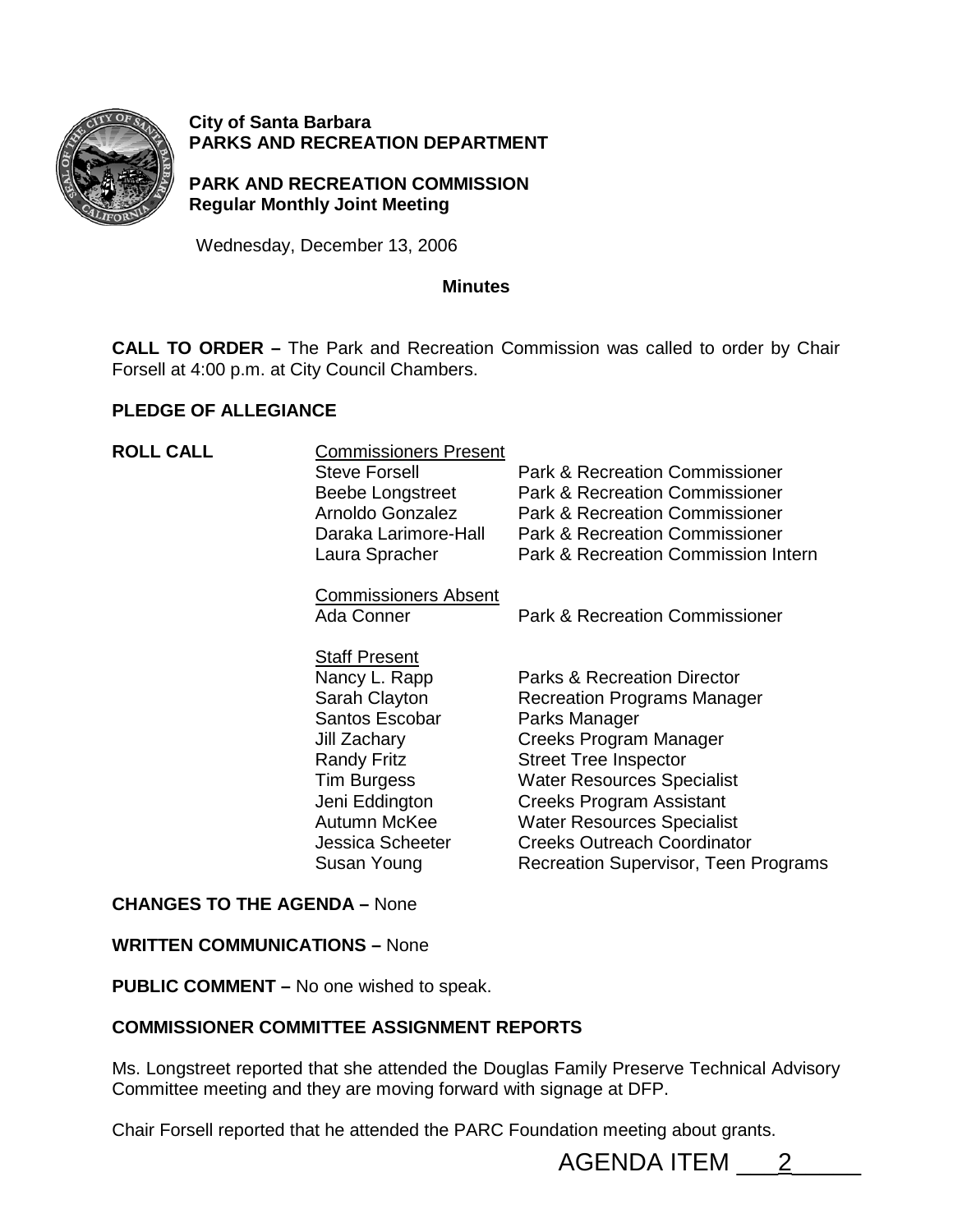

#### **City of Santa Barbara PARKS AND RECREATION DEPARTMENT**

**PARK AND RECREATION COMMISSION Regular Monthly Joint Meeting** 

Wednesday, December 13, 2006

#### **Minutes**

**CALL TO ORDER –** The Park and Recreation Commission was called to order by Chair Forsell at 4:00 p.m. at City Council Chambers.

#### **PLEDGE OF ALLEGIANCE**

| <b>ROLL CALL</b> | <b>Commissioners Present</b><br><b>Steve Forsell</b><br>Beebe Longstreet<br>Arnoldo Gonzalez<br>Daraka Larimore-Hall<br>Laura Spracher                                                                           | <b>Park &amp; Recreation Commissioner</b><br><b>Park &amp; Recreation Commissioner</b><br><b>Park &amp; Recreation Commissioner</b><br><b>Park &amp; Recreation Commissioner</b><br>Park & Recreation Commission Intern                                                                                                                     |
|------------------|------------------------------------------------------------------------------------------------------------------------------------------------------------------------------------------------------------------|---------------------------------------------------------------------------------------------------------------------------------------------------------------------------------------------------------------------------------------------------------------------------------------------------------------------------------------------|
|                  | <b>Commissioners Absent</b><br>Ada Conner                                                                                                                                                                        | <b>Park &amp; Recreation Commissioner</b>                                                                                                                                                                                                                                                                                                   |
|                  | <b>Staff Present</b><br>Nancy L. Rapp<br>Sarah Clayton<br>Santos Escobar<br>Jill Zachary<br><b>Randy Fritz</b><br><b>Tim Burgess</b><br>Jeni Eddington<br>Autumn McKee<br><b>Jessica Scheeter</b><br>Susan Young | <b>Parks &amp; Recreation Director</b><br><b>Recreation Programs Manager</b><br>Parks Manager<br>Creeks Program Manager<br><b>Street Tree Inspector</b><br><b>Water Resources Specialist</b><br>Creeks Program Assistant<br><b>Water Resources Specialist</b><br><b>Creeks Outreach Coordinator</b><br>Recreation Supervisor, Teen Programs |

#### **CHANGES TO THE AGENDA –** None

#### **WRITTEN COMMUNICATIONS –** None

**PUBLIC COMMENT –** No one wished to speak.

#### **COMMISSIONER COMMITTEE ASSIGNMENT REPORTS**

Ms. Longstreet reported that she attended the Douglas Family Preserve Technical Advisory Committee meeting and they are moving forward with signage at DFP.

Chair Forsell reported that he attended the PARC Foundation meeting about grants.

AGENDA ITEM \_\_\_2\_\_\_\_\_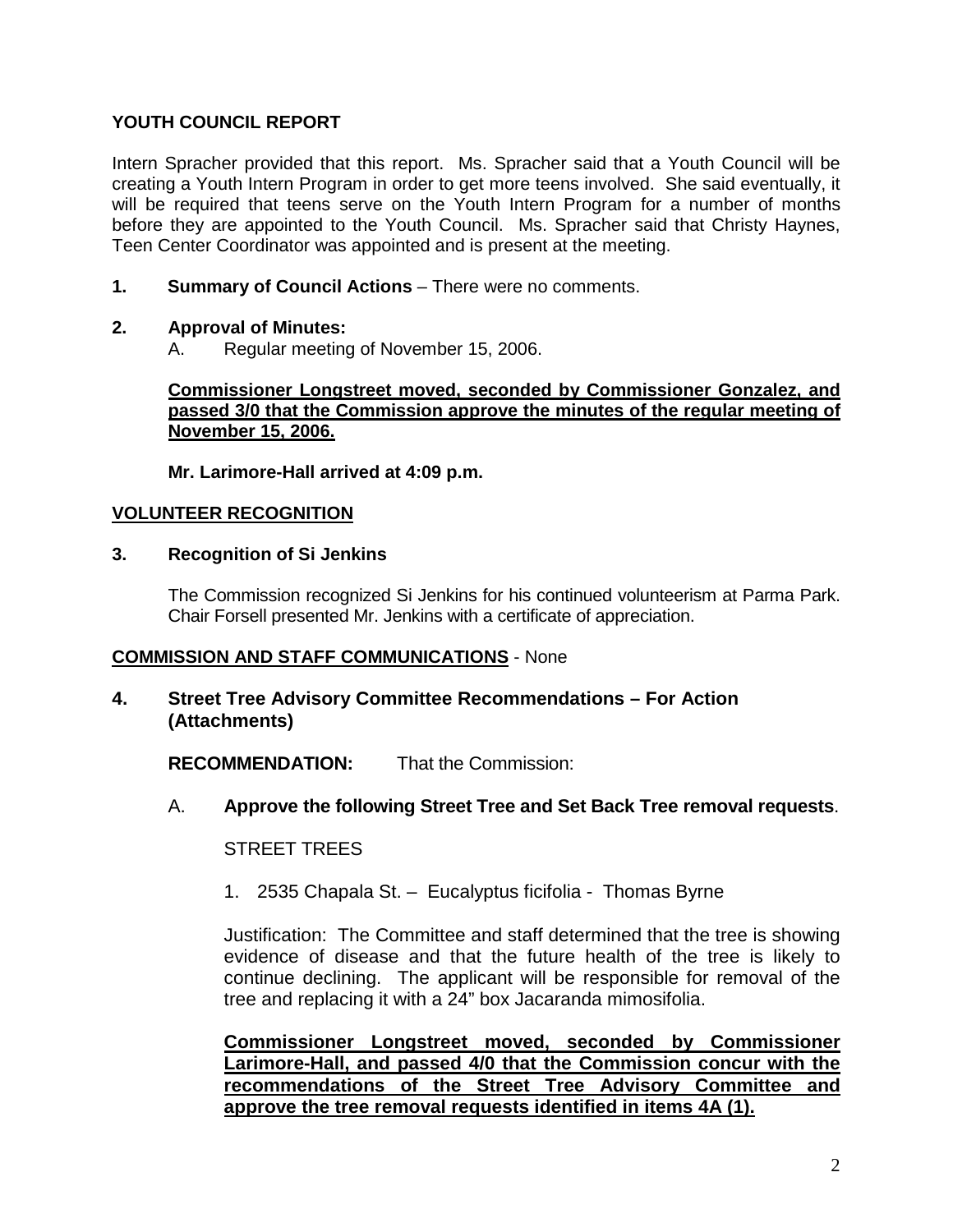## **YOUTH COUNCIL REPORT**

Intern Spracher provided that this report. Ms. Spracher said that a Youth Council will be creating a Youth Intern Program in order to get more teens involved. She said eventually, it will be required that teens serve on the Youth Intern Program for a number of months before they are appointed to the Youth Council. Ms. Spracher said that Christy Haynes, Teen Center Coordinator was appointed and is present at the meeting.

**1. Summary of Council Actions** – There were no comments.

#### **2. Approval of Minutes:**

A. Regular meeting of November 15, 2006.

**Commissioner Longstreet moved, seconded by Commissioner Gonzalez, and passed 3/0 that the Commission approve the minutes of the regular meeting of November 15, 2006.**

**Mr. Larimore-Hall arrived at 4:09 p.m.**

#### **VOLUNTEER RECOGNITION**

#### **3. Recognition of Si Jenkins**

The Commission recognized Si Jenkins for his continued volunteerism at Parma Park. Chair Forsell presented Mr. Jenkins with a certificate of appreciation.

#### **COMMISSION AND STAFF COMMUNICATIONS** - None

#### **4. Street Tree Advisory Committee Recommendations – For Action (Attachments)**

**RECOMMENDATION:** That the Commission:

A. **Approve the following Street Tree and Set Back Tree removal requests**.

STREET TREES

1. 2535 Chapala St. – Eucalyptus ficifolia - Thomas Byrne

Justification: The Committee and staff determined that the tree is showing evidence of disease and that the future health of the tree is likely to continue declining. The applicant will be responsible for removal of the tree and replacing it with a 24" box Jacaranda mimosifolia.

**Commissioner Longstreet moved, seconded by Commissioner Larimore-Hall, and passed 4/0 that the Commission concur with the recommendations of the Street Tree Advisory Committee and approve the tree removal requests identified in items 4A (1).**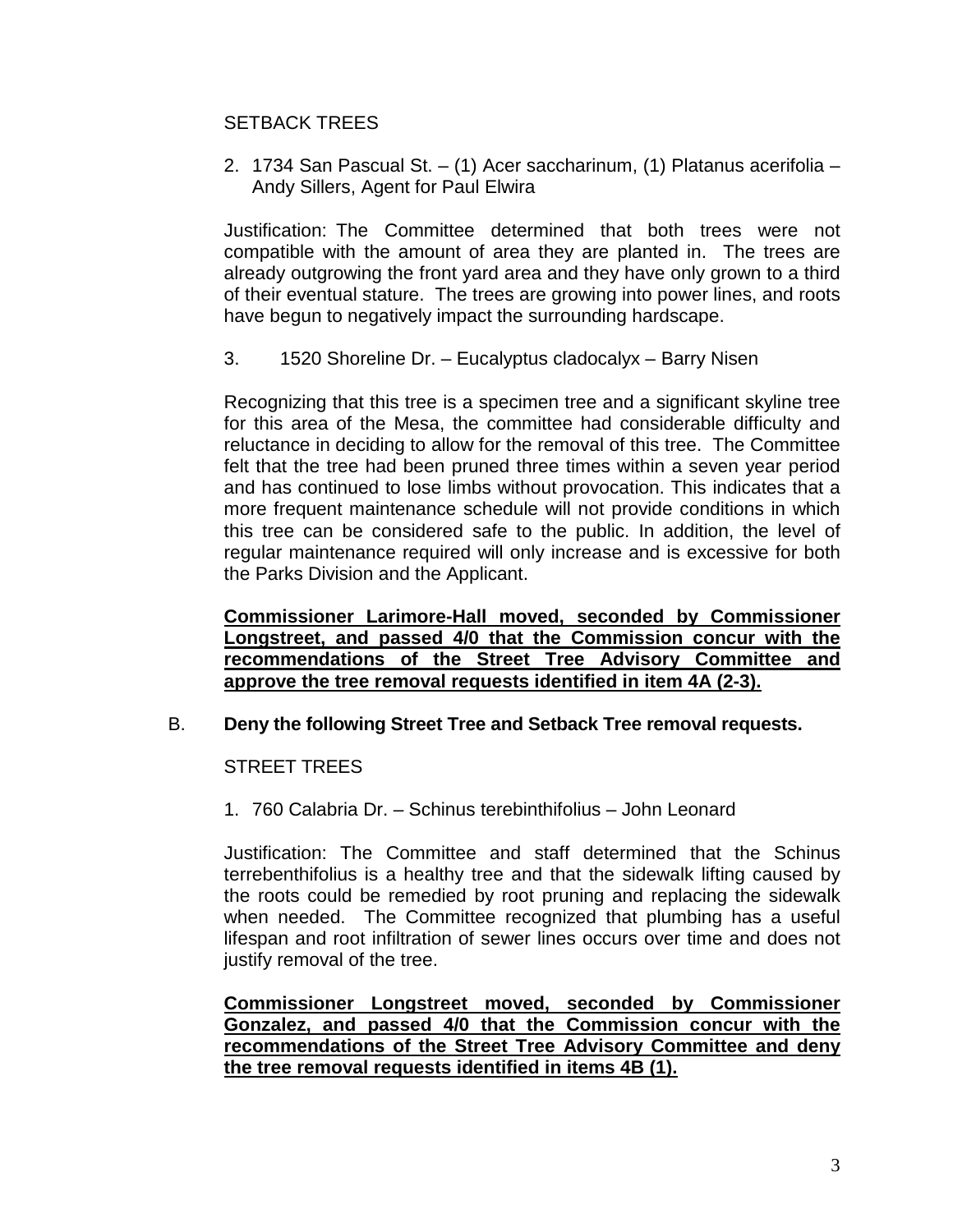# SETBACK TREES

2. 1734 San Pascual St. – (1) Acer saccharinum, (1) Platanus acerifolia – Andy Sillers, Agent for Paul Elwira

Justification: The Committee determined that both trees were not compatible with the amount of area they are planted in. The trees are already outgrowing the front yard area and they have only grown to a third of their eventual stature. The trees are growing into power lines, and roots have begun to negatively impact the surrounding hardscape.

3. 1520 Shoreline Dr. – Eucalyptus cladocalyx – Barry Nisen

Recognizing that this tree is a specimen tree and a significant skyline tree for this area of the Mesa, the committee had considerable difficulty and reluctance in deciding to allow for the removal of this tree. The Committee felt that the tree had been pruned three times within a seven year period and has continued to lose limbs without provocation. This indicates that a more frequent maintenance schedule will not provide conditions in which this tree can be considered safe to the public. In addition, the level of regular maintenance required will only increase and is excessive for both the Parks Division and the Applicant.

**Commissioner Larimore-Hall moved, seconded by Commissioner Longstreet, and passed 4/0 that the Commission concur with the recommendations of the Street Tree Advisory Committee and approve the tree removal requests identified in item 4A (2-3).**

## B. **Deny the following Street Tree and Setback Tree removal requests.**

#### STREET TREES

1. 760 Calabria Dr. – Schinus terebinthifolius – John Leonard

Justification: The Committee and staff determined that the Schinus terrebenthifolius is a healthy tree and that the sidewalk lifting caused by the roots could be remedied by root pruning and replacing the sidewalk when needed. The Committee recognized that plumbing has a useful lifespan and root infiltration of sewer lines occurs over time and does not justify removal of the tree.

**Commissioner Longstreet moved, seconded by Commissioner Gonzalez, and passed 4/0 that the Commission concur with the recommendations of the Street Tree Advisory Committee and deny the tree removal requests identified in items 4B (1).**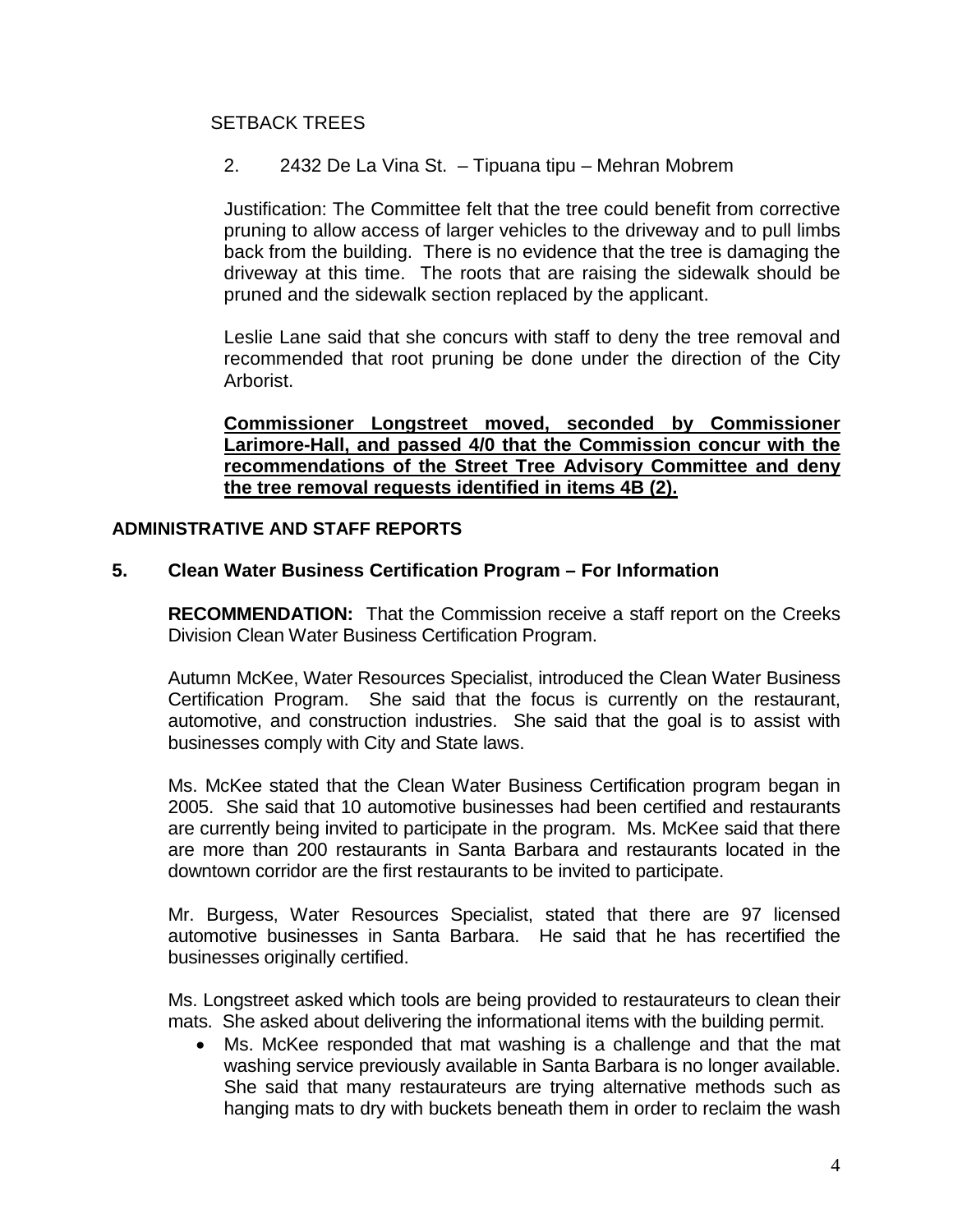# SETBACK TREES

2. 2432 De La Vina St. – Tipuana tipu – Mehran Mobrem

Justification: The Committee felt that the tree could benefit from corrective pruning to allow access of larger vehicles to the driveway and to pull limbs back from the building. There is no evidence that the tree is damaging the driveway at this time. The roots that are raising the sidewalk should be pruned and the sidewalk section replaced by the applicant.

Leslie Lane said that she concurs with staff to deny the tree removal and recommended that root pruning be done under the direction of the City Arborist.

**Commissioner Longstreet moved, seconded by Commissioner Larimore-Hall, and passed 4/0 that the Commission concur with the recommendations of the Street Tree Advisory Committee and deny the tree removal requests identified in items 4B (2).**

## **ADMINISTRATIVE AND STAFF REPORTS**

## **5. Clean Water Business Certification Program – For Information**

**RECOMMENDATION:** That the Commission receive a staff report on the Creeks Division Clean Water Business Certification Program.

Autumn McKee, Water Resources Specialist, introduced the Clean Water Business Certification Program. She said that the focus is currently on the restaurant, automotive, and construction industries. She said that the goal is to assist with businesses comply with City and State laws.

Ms. McKee stated that the Clean Water Business Certification program began in 2005. She said that 10 automotive businesses had been certified and restaurants are currently being invited to participate in the program. Ms. McKee said that there are more than 200 restaurants in Santa Barbara and restaurants located in the downtown corridor are the first restaurants to be invited to participate.

Mr. Burgess, Water Resources Specialist, stated that there are 97 licensed automotive businesses in Santa Barbara. He said that he has recertified the businesses originally certified.

Ms. Longstreet asked which tools are being provided to restaurateurs to clean their mats. She asked about delivering the informational items with the building permit.

• Ms. McKee responded that mat washing is a challenge and that the mat washing service previously available in Santa Barbara is no longer available. She said that many restaurateurs are trying alternative methods such as hanging mats to dry with buckets beneath them in order to reclaim the wash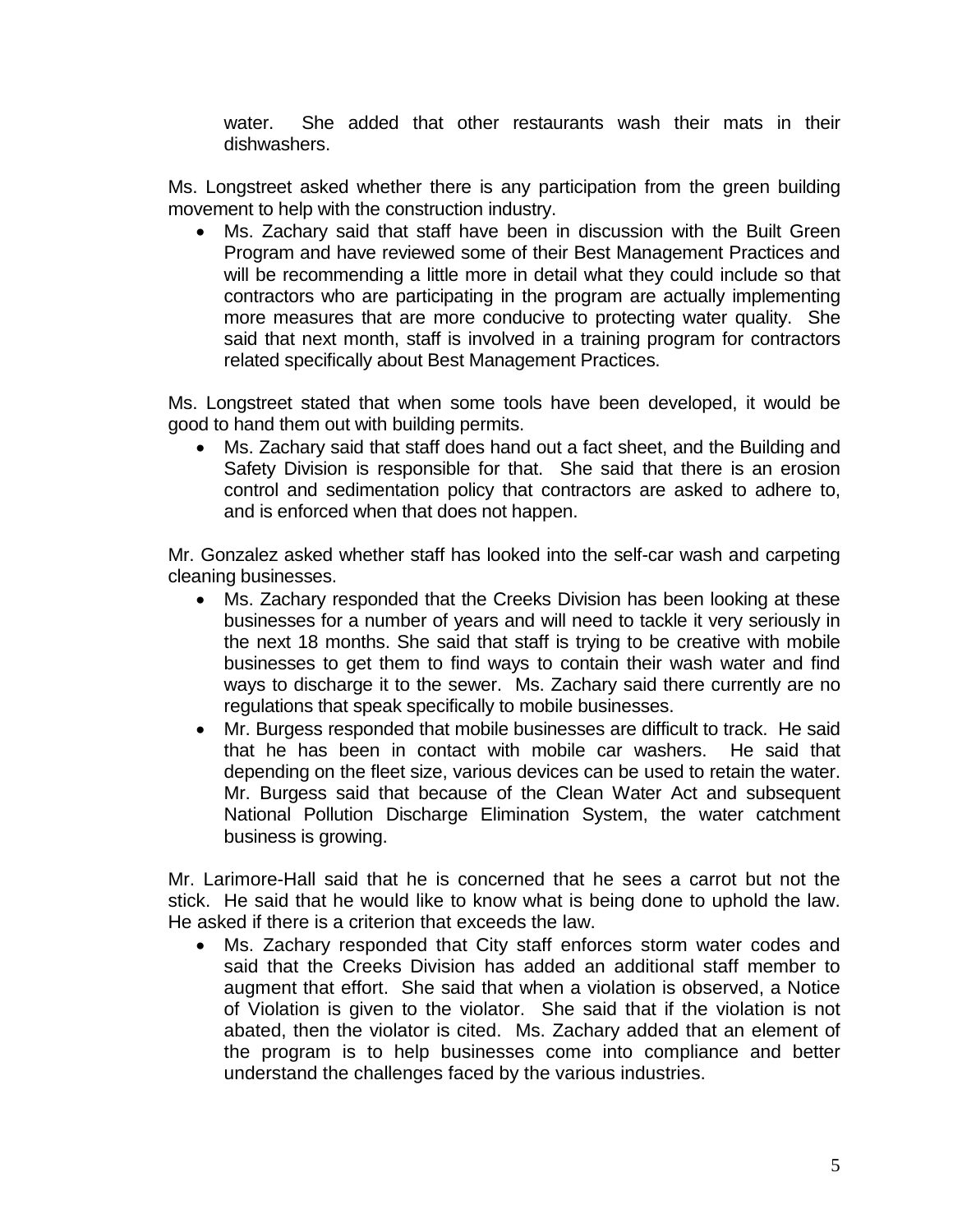water. She added that other restaurants wash their mats in their dishwashers.

Ms. Longstreet asked whether there is any participation from the green building movement to help with the construction industry.

• Ms. Zachary said that staff have been in discussion with the Built Green Program and have reviewed some of their Best Management Practices and will be recommending a little more in detail what they could include so that contractors who are participating in the program are actually implementing more measures that are more conducive to protecting water quality. She said that next month, staff is involved in a training program for contractors related specifically about Best Management Practices.

Ms. Longstreet stated that when some tools have been developed, it would be good to hand them out with building permits.

• Ms. Zachary said that staff does hand out a fact sheet, and the Building and Safety Division is responsible for that. She said that there is an erosion control and sedimentation policy that contractors are asked to adhere to, and is enforced when that does not happen.

Mr. Gonzalez asked whether staff has looked into the self-car wash and carpeting cleaning businesses.

- Ms. Zachary responded that the Creeks Division has been looking at these businesses for a number of years and will need to tackle it very seriously in the next 18 months. She said that staff is trying to be creative with mobile businesses to get them to find ways to contain their wash water and find ways to discharge it to the sewer. Ms. Zachary said there currently are no regulations that speak specifically to mobile businesses.
- Mr. Burgess responded that mobile businesses are difficult to track. He said that he has been in contact with mobile car washers. He said that depending on the fleet size, various devices can be used to retain the water. Mr. Burgess said that because of the Clean Water Act and subsequent National Pollution Discharge Elimination System, the water catchment business is growing.

Mr. Larimore-Hall said that he is concerned that he sees a carrot but not the stick. He said that he would like to know what is being done to uphold the law. He asked if there is a criterion that exceeds the law.

• Ms. Zachary responded that City staff enforces storm water codes and said that the Creeks Division has added an additional staff member to augment that effort. She said that when a violation is observed, a Notice of Violation is given to the violator. She said that if the violation is not abated, then the violator is cited. Ms. Zachary added that an element of the program is to help businesses come into compliance and better understand the challenges faced by the various industries.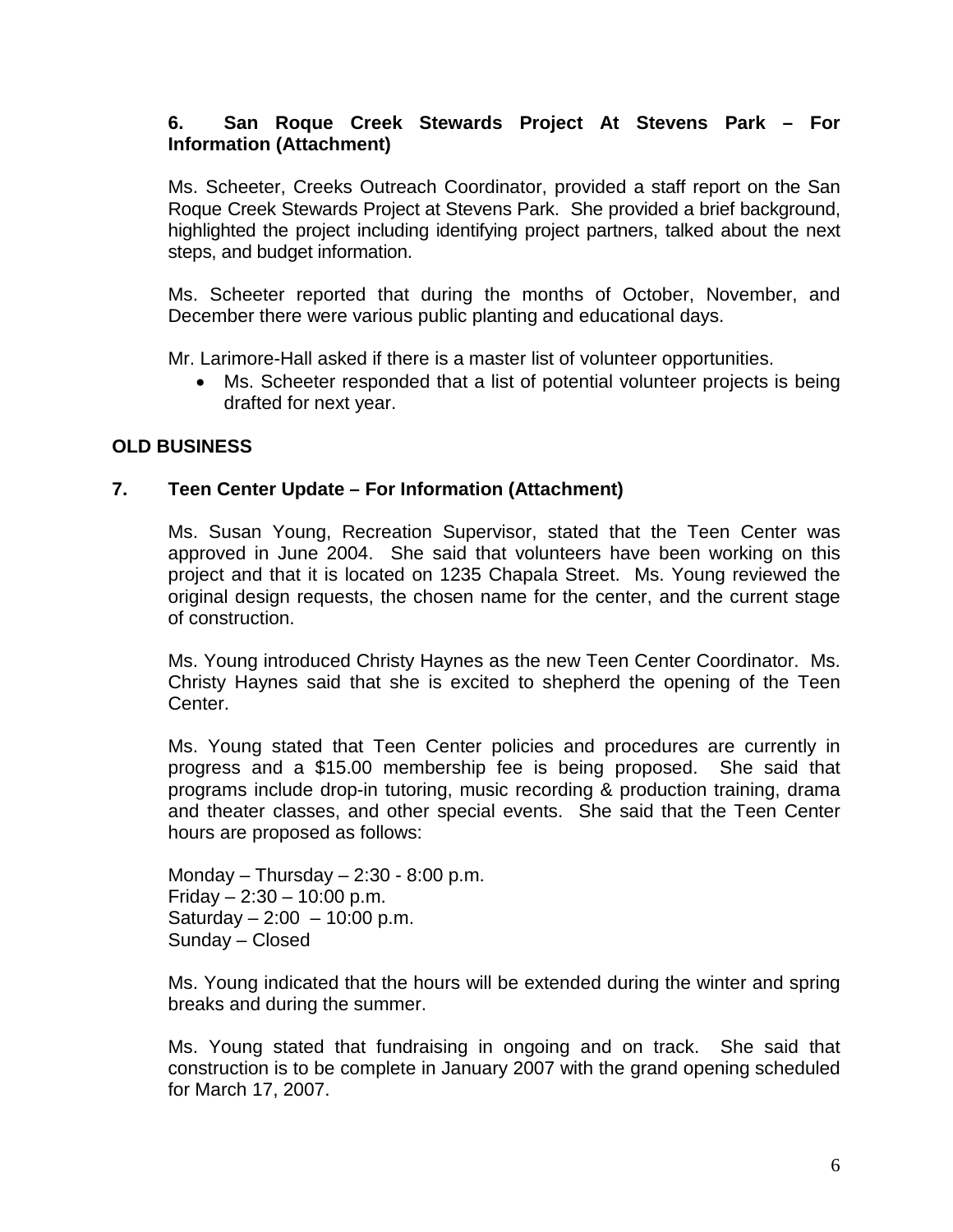## **6. San Roque Creek Stewards Project At Stevens Park – For Information (Attachment)**

Ms. Scheeter, Creeks Outreach Coordinator, provided a staff report on the San Roque Creek Stewards Project at Stevens Park. She provided a brief background, highlighted the project including identifying project partners, talked about the next steps, and budget information.

Ms. Scheeter reported that during the months of October, November, and December there were various public planting and educational days.

Mr. Larimore-Hall asked if there is a master list of volunteer opportunities.

Ms. Scheeter responded that a list of potential volunteer projects is being drafted for next year.

# **OLD BUSINESS**

# **7. Teen Center Update – For Information (Attachment)**

Ms. Susan Young, Recreation Supervisor, stated that the Teen Center was approved in June 2004. She said that volunteers have been working on this project and that it is located on 1235 Chapala Street. Ms. Young reviewed the original design requests, the chosen name for the center, and the current stage of construction.

Ms. Young introduced Christy Haynes as the new Teen Center Coordinator. Ms. Christy Haynes said that she is excited to shepherd the opening of the Teen Center.

Ms. Young stated that Teen Center policies and procedures are currently in progress and a \$15.00 membership fee is being proposed. She said that programs include drop-in tutoring, music recording & production training, drama and theater classes, and other special events. She said that the Teen Center hours are proposed as follows:

Monday – Thursday –  $2:30 - 8:00$  p.m. Friday  $-2:30 - 10:00$  p.m. Saturday – 2:00 – 10:00 p.m. Sunday – Closed

Ms. Young indicated that the hours will be extended during the winter and spring breaks and during the summer.

Ms. Young stated that fundraising in ongoing and on track. She said that construction is to be complete in January 2007 with the grand opening scheduled for March 17, 2007.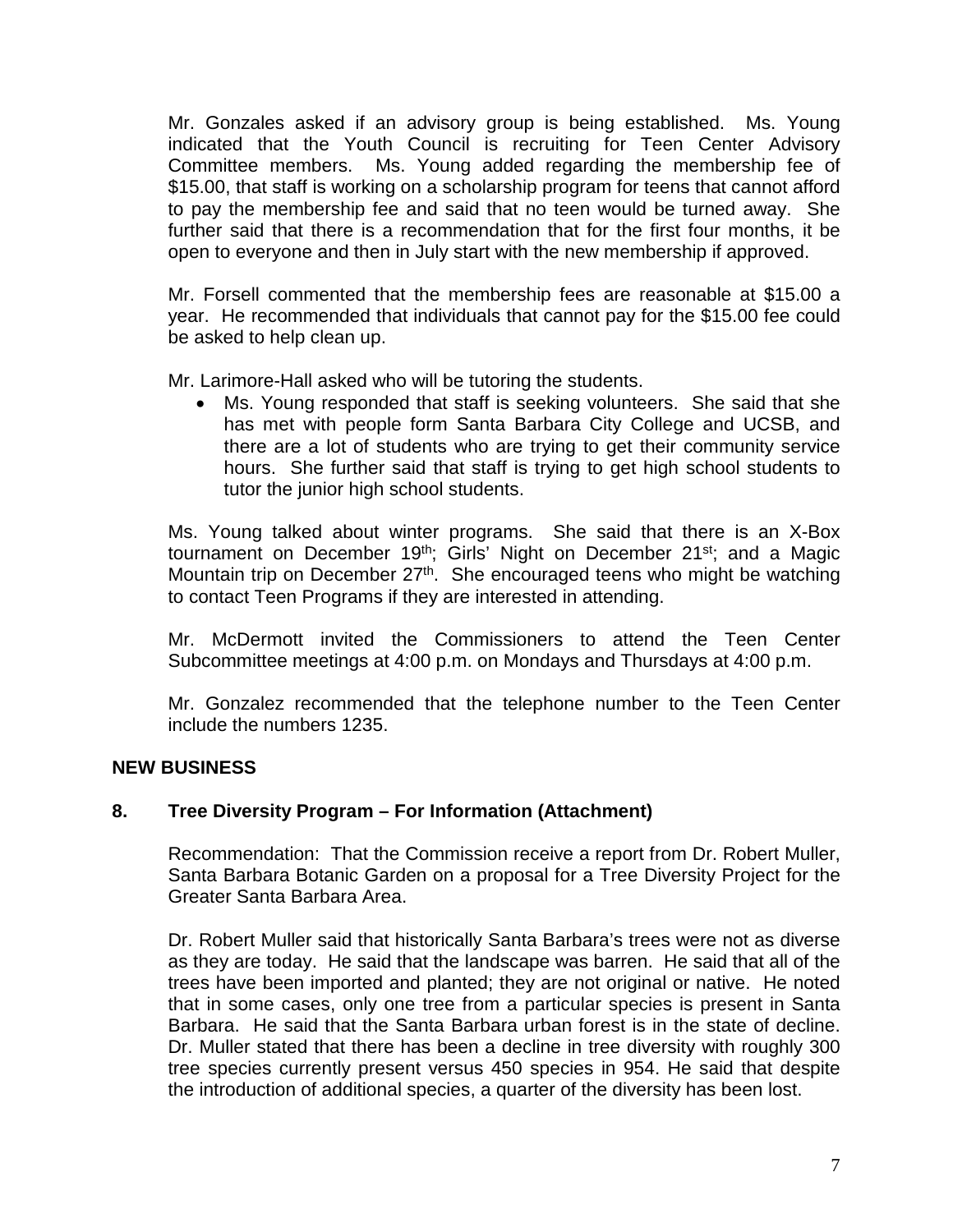Mr. Gonzales asked if an advisory group is being established. Ms. Young indicated that the Youth Council is recruiting for Teen Center Advisory Committee members. Ms. Young added regarding the membership fee of \$15.00, that staff is working on a scholarship program for teens that cannot afford to pay the membership fee and said that no teen would be turned away. She further said that there is a recommendation that for the first four months, it be open to everyone and then in July start with the new membership if approved.

Mr. Forsell commented that the membership fees are reasonable at \$15.00 a year. He recommended that individuals that cannot pay for the \$15.00 fee could be asked to help clean up.

Mr. Larimore-Hall asked who will be tutoring the students.

• Ms. Young responded that staff is seeking volunteers. She said that she has met with people form Santa Barbara City College and UCSB, and there are a lot of students who are trying to get their community service hours. She further said that staff is trying to get high school students to tutor the junior high school students.

Ms. Young talked about winter programs. She said that there is an X-Box tournament on December 19<sup>th</sup>; Girls' Night on December 21<sup>st</sup>; and a Magic Mountain trip on December 27<sup>th</sup>. She encouraged teens who might be watching to contact Teen Programs if they are interested in attending.

Mr. McDermott invited the Commissioners to attend the Teen Center Subcommittee meetings at 4:00 p.m. on Mondays and Thursdays at 4:00 p.m.

Mr. Gonzalez recommended that the telephone number to the Teen Center include the numbers 1235.

## **NEW BUSINESS**

## **8. Tree Diversity Program – For Information (Attachment)**

Recommendation: That the Commission receive a report from Dr. Robert Muller, Santa Barbara Botanic Garden on a proposal for a Tree Diversity Project for the Greater Santa Barbara Area.

Dr. Robert Muller said that historically Santa Barbara's trees were not as diverse as they are today. He said that the landscape was barren. He said that all of the trees have been imported and planted; they are not original or native. He noted that in some cases, only one tree from a particular species is present in Santa Barbara. He said that the Santa Barbara urban forest is in the state of decline. Dr. Muller stated that there has been a decline in tree diversity with roughly 300 tree species currently present versus 450 species in 954. He said that despite the introduction of additional species, a quarter of the diversity has been lost.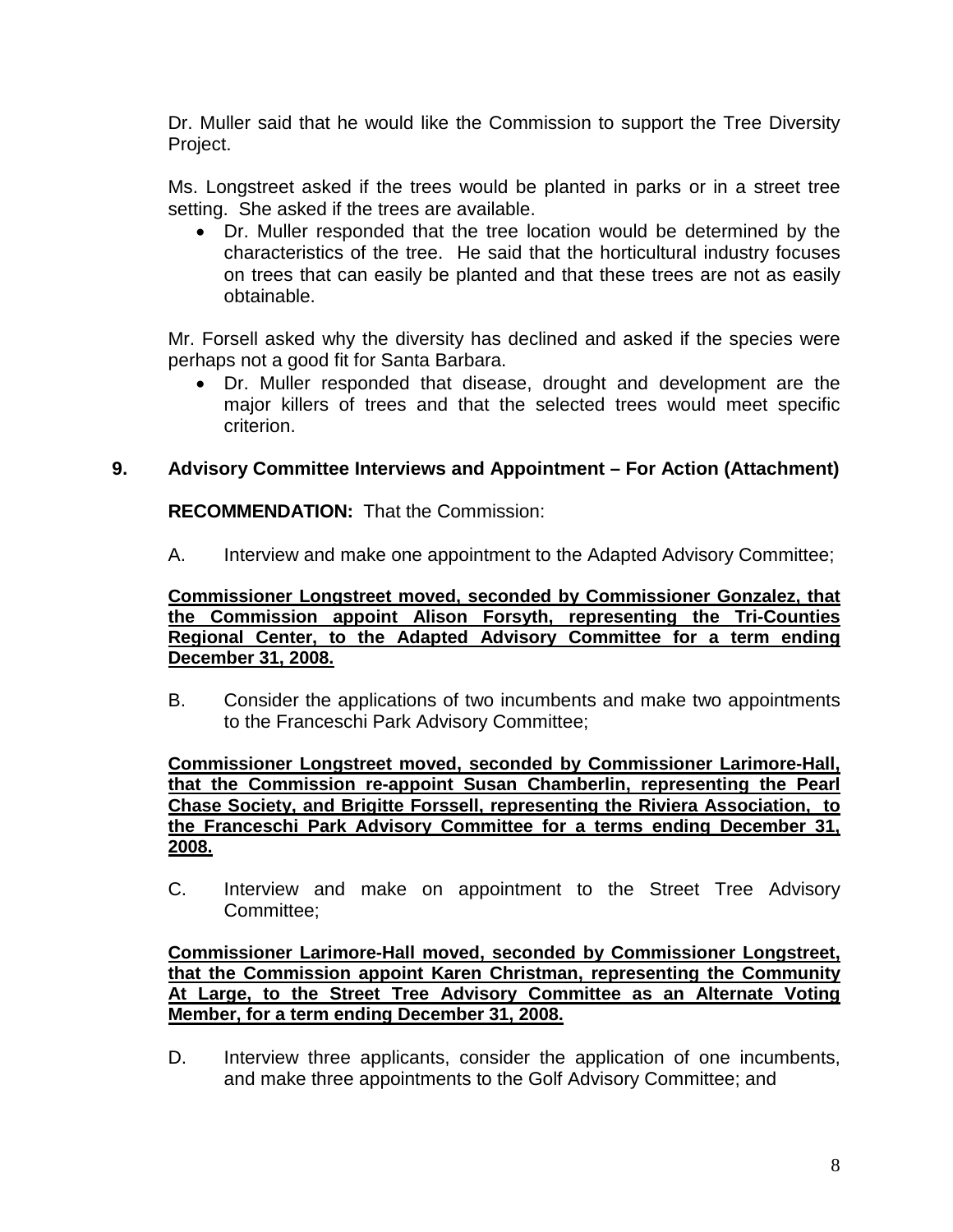Dr. Muller said that he would like the Commission to support the Tree Diversity Project.

Ms. Longstreet asked if the trees would be planted in parks or in a street tree setting. She asked if the trees are available.

• Dr. Muller responded that the tree location would be determined by the characteristics of the tree. He said that the horticultural industry focuses on trees that can easily be planted and that these trees are not as easily obtainable.

Mr. Forsell asked why the diversity has declined and asked if the species were perhaps not a good fit for Santa Barbara.

• Dr. Muller responded that disease, drought and development are the major killers of trees and that the selected trees would meet specific criterion.

# **9. Advisory Committee Interviews and Appointment – For Action (Attachment)**

**RECOMMENDATION:** That the Commission:

A. Interview and make one appointment to the Adapted Advisory Committee;

**Commissioner Longstreet moved, seconded by Commissioner Gonzalez, that the Commission appoint Alison Forsyth, representing the Tri-Counties Regional Center, to the Adapted Advisory Committee for a term ending December 31, 2008.**

B. Consider the applications of two incumbents and make two appointments to the Franceschi Park Advisory Committee;

**Commissioner Longstreet moved, seconded by Commissioner Larimore-Hall, that the Commission re-appoint Susan Chamberlin, representing the Pearl Chase Society, and Brigitte Forssell, representing the Riviera Association, to the Franceschi Park Advisory Committee for a terms ending December 31, 2008.**

C. Interview and make on appointment to the Street Tree Advisory Committee;

**Commissioner Larimore-Hall moved, seconded by Commissioner Longstreet, that the Commission appoint Karen Christman, representing the Community At Large, to the Street Tree Advisory Committee as an Alternate Voting Member, for a term ending December 31, 2008.**

D. Interview three applicants, consider the application of one incumbents, and make three appointments to the Golf Advisory Committee; and